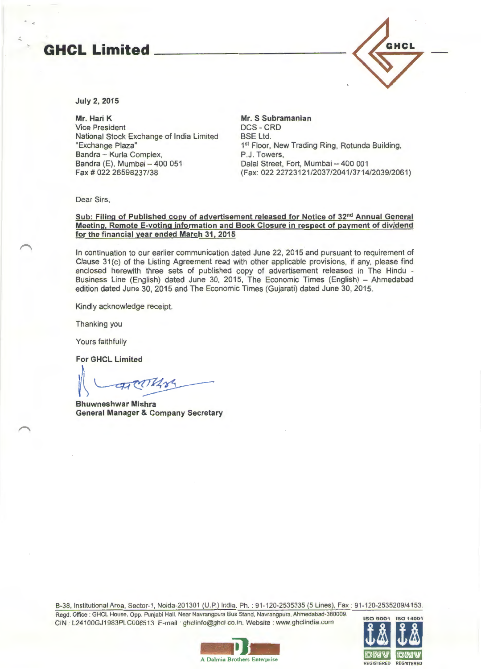## **GHCL Limited**



July 2, 2015

Mr. Hari K Vice President National Stock Exchange of India Limited "Exchange Plaza" Bandra - Kurla Complex, Bandra (E), Mumbai - 400 051 Fax# 022 26598237/38

Mr. S Subramanian DCS- CRD BSE Ltd. 1<sup>st</sup> Floor, New Trading Ring, Rotunda Building, P.J. Towers, Dalal Street, Fort, Mumbai - 400 001 (Fax: 022 22723121/2037/2041/3714/2039/2061)

Dear Sirs,

## Sub: Filing of Published copy of advertisement released for Notice of 32<sup>nd</sup> Annual General Meeting. Remote E-voting information and Book Closure in respect of payment of dividend for the financial year ended March 31, 2015

In continuation to our earlier communication dated June 22, 2015 and pursuant to requirement of Clause 31(c) of the Listing Agreement read with other applicable provisions, if any, please find enclosed herewith three sets of published copy of advertisement released in The Hindu - Business Line (English) dated June 30, 2015, The Economic Times (English) - Ahmedabad edition dated June 30, 2015 and The Economic Times (Gujarati) dated June 30, 2015.

Kindly acknowledge receipt.

Thanking you

Yours faithfully

For GHCL Limited

Sh GACL Limited<br>A<br>Bhuwneshwar Mishra

Bhuwneshwar General Manager & Company Secretary

B-38, Institutional Area, Sector-1 , Noida-201301 (U.P.) India. Ph.: 91 -120-2535335 (5 Lines), Fax : 91-120-2535209/4153.

Regd . Office : GHCL House, Opp. Punjabi Hall, Near Navrangpura Bus Stand , Navrangpura. Ahmedabad-380009. CIN : L24100GJ1983PLC006513 E-mail · ghclinfo@ghcl co.in. Website : www.ghclindia.com



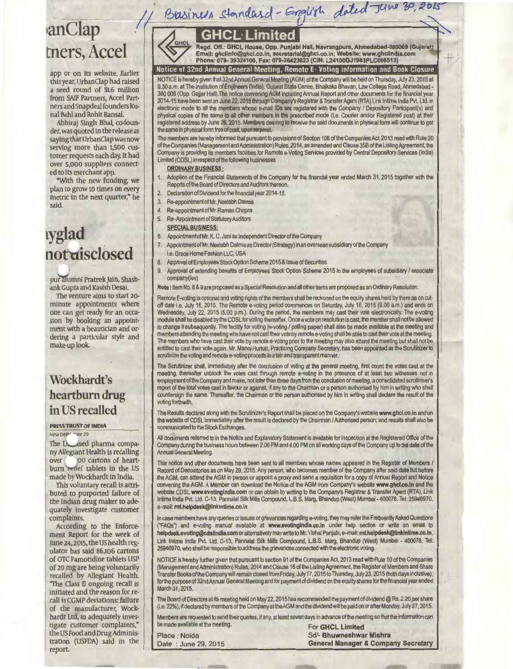## Basiness Standard-English dated June 30, 2015 **GHCL Limited** GHC

Regd. Off.: GHCL House, Opp. Punjabi Hall, Navrangpura, Ahmedabad-380009 (Gujarat)<br>Email: ghclinfo@ghcl.co.in, secretarial@ghcl.co.in; Website: www.ghclindia.com<br>Phone: 079- 39324100, Fax: 079-26423623 (CIN: L24100GJ1983PL

## Notice of 32nd Annual General Meeting, Remote E- Voting information and Book Closure

NOTICE is hereby given that 32ndAnnual General Meeting (AGM) of the Company will be held on Thursday, July 23, 2015 at 9.30 a.m. at The Institution of Engineers (India), Gujarat State Centre, Bhaikaka Bhavan, Law College Road, Ahmadabad - 380 006 (Opp. Galiar Hall). The notice convening AGM including Annual Report and other documents for the financial year 2014-15 have been sent on June 22, 2015 through Company's Registrar & Transfer Agent (RTA) Link lntime India Pvt. Ltd. in ectronic mode to all the members whose e-mail IDs are registered with the Company / Depository Participant(s) and physical copies of the same to all other members in the prescribed mode (i.e. Courier and/or Registered post) at their registered address by June 26, 2015. Members desiring to receive the said documents in physical form will continue to get the same in physical form free of cost, upon nequest.

The members are hereby informed that pursuant to provisions of Section 108 of the Companies Act, 2013 read with Rule 20 of the Companies (Management and Administration) Rules, 2014, as amended and Clause 358 of the Listing Agreement, the Company is providing its members facilities for Remote a-Voting Services provided by Central Depository Services (India) Limited (CDSL) in respect of the following businesses ·

- ORDINARY BUSINESS :
- 1. Adoption of the Financial Statements of the Company for the financial year ended March 31, 2015 together with the Reports of the Board of Directors and Auditors thereon.
- 2. Declaration of Dividend for the financial year 2014-15.
- 3. Re-appointment of Mr. Neelabh Dalmia
- 4. Re-appointmentofMr. Raman Chopra
- 5. Re-Appointment of Statutory Auditors
- SPECIAL BUSINESS:
- 6. Appointment of Mr. K. C. Jani as Independent Directorof the Company
- 7. Appointment of Mr. Neelabh Dalmia as Director(Strategy) in an overseas subsidiary of the Company i.e. Grace Home Fashion LLC, USA
- 8. Approval of Employees Stock Option Scheme 2015 & Issue of Securities
- 9. Approval of extending benefits of Employees Stock Option Scheme 2015 to the employees of subsidiary / associate company(ies)

Note: Item No. 8 & 9 are proposed as a Special Resolution and all other items are proposed as an Ordinary Resolution.

Remote E-voting is optional and voting rights of the members shall be reckoned on the equity shares held by them as on cutoff date i.e. July 16, 2015. The Remote e-voting period commences on Saturday, July 18, 2015 (9.00 a.m.) and ends on Wednesday, July 22, 2015 (5.00 p.m.). During the period, the members may cast their vote electronically. The e-voting module shall be disabled by the CDSL for voting thereafter. Once a vote on resolution is cast, the member shall not be allowed to change it subsequently. The facility for voting (e-voting / polling paper) shall also be made available at the meeting and members attending the meeting who have not cast their vote by remote a-voting shall be able to cast their vote at the meeting. The members who have cast their vote by remote e-voting prior to the meeting may also attend the meeting but shall not be entitled to cast their vote again. Mr. Manoj Hurkat, Practicing Company Secretary, has been appointed as the Scrutinizer to scrutinize the voting and remote e-voting process in a fair and transparent manner.

The Scrutinizer shall, immediately after the conclusion of voting at the general meeting, first count the votes cast at the meeting, thereafter unblock the votes cast through remote e-voting in the presence of at least two witnesses not in employment of the Company and make, not later than three days from the conclusion of meeting, a consolidated scrutiniser's report of the total votes cast in favour or against, if any to the Chairman or a person authorised by him in writing who shall countersign the same. Thereafter, the Chairman or the person authorised by him in writing shall declare the result of the voting forthwith.

The Results declared along with the Scrutinizer's Report shall be placed on the Company's website www.ghcl.co,in and on the website of CDSL immediately after the result is declared by the Chairman I Authorised person; and results shall also be communicated to the Stock Exchanges.

All documents referred to in the Notice and Explanatory Statement is available for inspection at the Registered Office of the Company during the business hours between 2.00 PM and 4.00 PM on all working days of the Company up to the date of the Annual General Meeting.

This notice and other documents have been sent to all members whose names appeared in the Register of Members / Record of Depositories as on May 29, 2015. Any person, who becomes member of the Company after said date but before the AGM, can attend the AGM in person or appoint a proxy and send a requisition for a copy of Annual Report and Notice convening the AGM. A Member can download the Notice of the AGM from Company's website www.ghcl.co.in and the website CDSL www.evotingindia.com or can obtain by writing to the Company's Registrar & Transfer Agent (RTA), Link lntime India Pvt. Ltd. C-13, Pannalal Silk Mills Compound, L.B.S. Marg, Bhandup (West) Mumbai-400078. Tel: 25946970, e-mail: mt.helpdesk@linkintime.co.in

In case members have any queries or issues or grievances regarding e-voting, they may refer the Frequently Asked Questions ('FAQs') and a-voting manual available at www.evotlnglndia.co.in under help section or write an email to helpdesk.evoting@cdslindla.com or alternatively may write to Mr. Vishal Panjabi, e-mail: mt.helpdesk@linkintime.co.in, Link lntime India Pvt. Ltd. C-13, Pannalal Silk Mills Compound, L.B.S. Marg, Bhandup (West) Mumbai - 400078, Tel: 25946970, who shall be responsible to address the grievances connected with the electronic voting.

NOTICE is hereby further given that pursuant to section 91 of the Companies Act, 2013 read with Rule 10 of the Companies (Management and Administration) Rules, 2014 and Clause 16 of the Listing Agreement, the Register of Membersand Share TransferBooksoftheCompanywill remain closed from Friday, July 17, 2015to Thursday, July 23, 2015 (both days inclusive), for the purpose of 32nd Annual General Meeting and for payment of dividend on the equity shares for the financial year ended March 31, 2015.

The Board of Directors at its meeting held on May 22, 2015 has recommended the payment of dividend@ Rs. 2.20 per share (i.e. 22% ), if declared by members of the Company at the AGM and the dividend will be paid on or after Monday, July 27, 2015.

Members are requested to send their queries, if any, at least seven days in advance of the meeting so that the information can<br>be made available at the meeting.

For GHCL Limited Place : Noida Sd/- Bhuwneshwar Mishra Date : June 29, 2015 General Manager & Company Secretary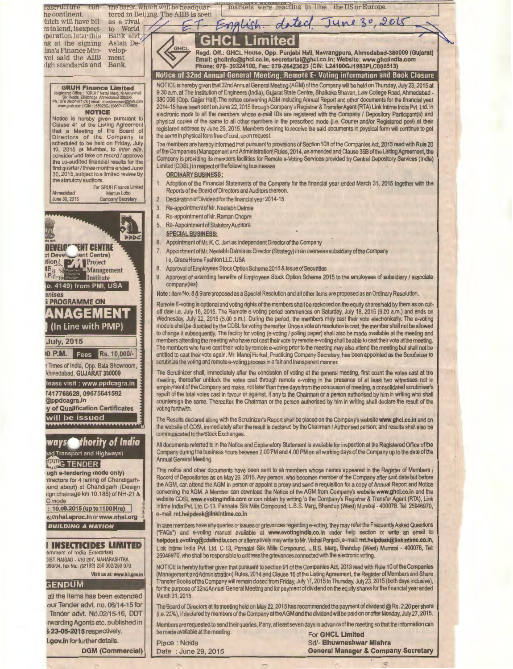

The Board of Directors at its meeting held on May 22, 2015 has recommended the payment of dividend @Rs. 2.20 per share (i.e. 22%), if declared by members of the Company at the AGM and the dividend will be paid on or after Monday, July 27, 2015.

Members are requested to send their queries, if any, at least seven days in advance of the meeting so that the information can be made available at the meeting.

**For GHCL Limited** Sd/- Bhuwneshwar Mishra

Place: Noida Date: June 29, 2015

**General Manager & Company Secretary**